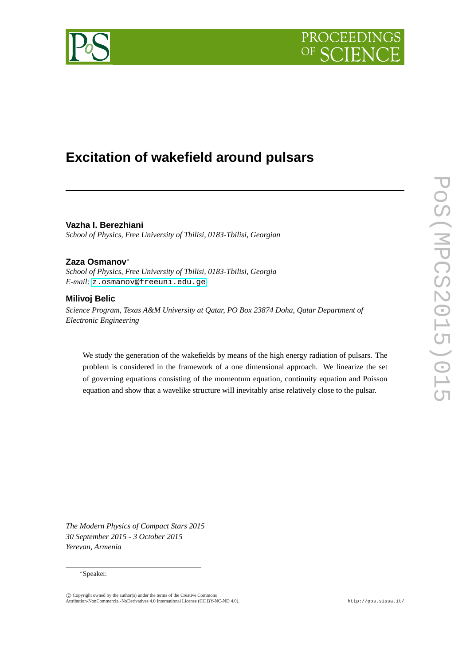



# **Excitation of wakefield around pulsars**

**Vazha I. Berezhiani** *School of Physics, Free University of Tbilisi, 0183-Tbilisi, Georgian*

## **Zaza Osmanov**<sup>∗</sup>

*School of Physics, Free University of Tbilisi, 0183-Tbilisi, Georgia E-mail:* [z.osmanov@freeuni.edu.ge](mailto:z.osmanov@freeuni.edu.ge)

## **Milivoj Belic**

*Science Program, Texas A&M University at Qatar, PO Box 23874 Doha, Qatar Department of Electronic Engineering*

We study the generation of the wakefields by means of the high energy radiation of pulsars. The problem is considered in the framework of a one dimensional approach. We linearize the set of governing equations consisting of the momentum equation, continuity equation and Poisson equation and show that a wavelike structure will inevitably arise relatively close to the pulsar.

*The Modern Physics of Compact Stars 2015 30 September 2015 - 3 October 2015 Yerevan, Armenia*

#### <sup>∗</sup>Speaker.

<sup>°</sup>c Copyright owned by the author(s) under the terms of the Creative Commons Attribution-NonCommercial-NoDerivatives 4.0 International License (CC BY-NC-ND 4.0). http://pos.sissa.it/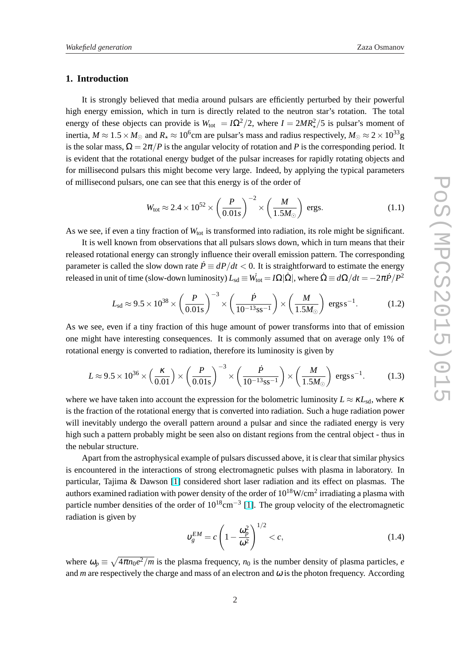#### <span id="page-1-0"></span>**1. Introduction**

It is strongly believed that media around pulsars are efficiently perturbed by their powerful high energy emission, which in turn is directly related to the neutron star's rotation. The total energy of these objects can provide is  $W_{\text{tot}} = I\Omega^2/2$ , where  $I = 2MR_\star^2/5$  is pulsar's moment of inertia,  $M\approx 1.5\times M_\odot$  and  $R_\star\approx 10^6$ cm are pulsar's mass and radius respectively,  $M_\odot\approx 2\times 10^{33}$  g is the solar mass,  $\Omega = 2\pi/P$  is the angular velocity of rotation and P is the corresponding period. It is evident that the rotational energy budget of the pulsar increases for rapidly rotating objects and for millisecond pulsars this might become very large. Indeed, by applying the typical parameters of millisecond pulsars, one can see that this energy is of the order of

$$
W_{\text{tot}} \approx 2.4 \times 10^{52} \times \left(\frac{P}{0.01s}\right)^{-2} \times \left(\frac{M}{1.5M_{\odot}}\right) \text{ ergs.}
$$
 (1.1)

As we see, if even a tiny fraction of  $W_{\text{tot}}$  is transformed into radiation, its role might be significant.

It is well known from observations that all pulsars slows down, which in turn means that their released rotational energy can strongly influence their overall emission pattern. The corresponding parameter is called the slow down rate  $\dot{P} \equiv dP/dt < 0$ . It is straightforward to estimate the energy released in unit of time (slow-down luminosity)  $L_{sd} \equiv W_{tot} = I\Omega|\dot{\Omega}|$ , where  $\dot{\Omega} \equiv d\Omega/dt = -2\pi \dot{P}/P^2$ 

$$
L_{\rm sd} \approx 9.5 \times 10^{38} \times \left(\frac{P}{0.01 \,\rm s}\right)^{-3} \times \left(\frac{\dot{P}}{10^{-13} \,\rm s\,s^{-1}}\right) \times \left(\frac{M}{1.5 M_{\odot}}\right) \,\rm ergs\,s^{-1}.\tag{1.2}
$$

As we see, even if a tiny fraction of this huge amount of power transforms into that of emission one might have interesting consequences. It is commonly assumed that on average only 1% of rotational energy is converted to radiation, therefore its luminosity is given by

$$
L \approx 9.5 \times 10^{36} \times \left(\frac{\kappa}{0.01}\right) \times \left(\frac{P}{0.01 \text{ s}}\right)^{-3} \times \left(\frac{\dot{P}}{10^{-13} \text{ s s}^{-1}}\right) \times \left(\frac{M}{1.5 M_{\odot}}\right) \text{ ergs s}^{-1}.
$$
 (1.3)

where we have taken into account the expression for the bolometric luminosity  $L \approx \kappa L_{sd}$ , where  $\kappa$ is the fraction of the rotational energy that is converted into radiation. Such a huge radiation power will inevitably undergo the overall pattern around a pulsar and since the radiated energy is very high such a pattern probably might be seen also on distant regions from the central object - thus in the nebular structure.

Apart from the astrophysical example of pulsars discussed above, it is clear that similar physics is encountered in the interactions of strong electromagnetic pulses with plasma in laboratory. In particular, Tajima & Dawson [\[1\]](#page-7-0) considered short laser radiation and its effect on plasmas. The authors examined radiation with power density of the order of  $10^{18}$ W/cm<sup>2</sup> irradiating a plasma with particle number densities of the order of  $10^{18}$ cm<sup>-3</sup> [\[1\]](#page-7-0). The group velocity of the electromagnetic radiation is given by  $\overline{a}$ 

$$
\upsilon_g^{EM} = c \left( 1 - \frac{\omega_p^2}{\omega^2} \right)^{1/2} < c,\tag{1.4}
$$

where  $\omega_p \equiv$  $\mathcal{L}$  $4\pi n_0 e^2/m$  is the plasma frequency,  $n_0$  is the number density of plasma particles, *e* and  $m$  are respectively the charge and mass of an electron and  $\omega$  is the photon frequency. According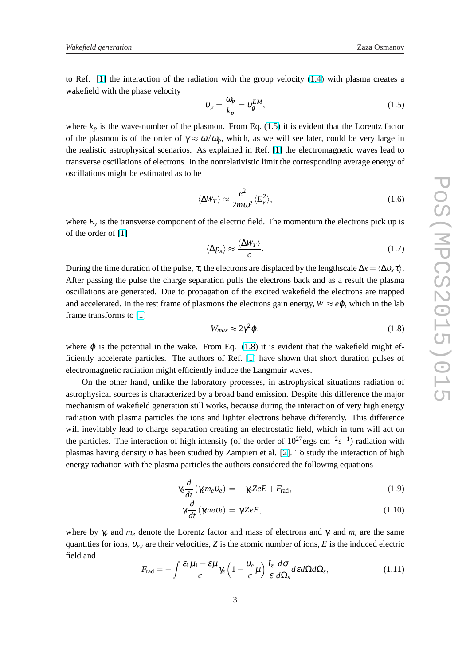<span id="page-2-0"></span>to Ref. [\[1\]](#page-7-0) the interaction of the radiation with the group velocity [\(1.4\)](#page-1-0) with plasma creates a wakefield with the phase velocity

$$
\upsilon_p = \frac{\omega_p}{k_p} = \upsilon_g^{EM},\tag{1.5}
$$

where  $k_p$  is the wave-number of the plasmon. From Eq. (1.5) it is evident that the Lorentz factor of the plasmon is of the order of  $\gamma \approx \omega/\omega_p$ , which, as we will see later, could be very large in the realistic astrophysical scenarios. As explained in Ref. [\[1\]](#page-7-0) the electromagnetic waves lead to transverse oscillations of electrons. In the nonrelativistic limit the corresponding average energy of oscillations might be estimated as to be

$$
\langle \Delta W_T \rangle \approx \frac{e^2}{2m\omega^2} \langle E_y^2 \rangle, \tag{1.6}
$$

where  $E_y$  is the transverse component of the electric field. The momentum the electrons pick up is of the order of [\[1\]](#page-7-0)

$$
\langle \Delta p_x \rangle \approx \frac{\langle \Delta W_T \rangle}{c}.
$$
 (1.7)

During the time duration of the pulse,  $\tau$ , the electrons are displaced by the lengthscale  $\Delta x = \langle \Delta v_x \tau \rangle$ . After passing the pulse the charge separation pulls the electrons back and as a result the plasma oscillations are generated. Due to propagation of the excited wakefield the electrons are trapped and accelerated. In the rest frame of plasmons the electrons gain energy,  $W \approx e\phi$ , which in the lab frame transforms to [\[1\]](#page-7-0)

$$
W_{max} \approx 2\gamma^2 \varphi, \tag{1.8}
$$

where  $\varphi$  is the potential in the wake. From Eq. (1.8) it is evident that the wakefield might efficiently accelerate particles. The authors of Ref. [\[1\]](#page-7-0) have shown that short duration pulses of electromagnetic radiation might efficiently induce the Langmuir waves.

On the other hand, unlike the laboratory processes, in astrophysical situations radiation of astrophysical sources is characterized by a broad band emission. Despite this difference the major mechanism of wakefield generation still works, because during the interaction of very high energy radiation with plasma particles the ions and lighter electrons behave differently. This difference will inevitably lead to charge separation creating an electrostatic field, which in turn will act on the particles. The interaction of high intensity (of the order of  $10^{27}$  ergs cm<sup>-2</sup>s<sup>-1</sup>) radiation with plasmas having density *n* has been studied by Zampieri et al. [\[2\]](#page-8-0). To study the interaction of high energy radiation with the plasma particles the authors considered the following equations

$$
\gamma_e \frac{d}{dt} (\gamma_e m_e v_e) = -\gamma_e Z e E + F_{\text{rad}}, \qquad (1.9)
$$

$$
\gamma_i \frac{d}{dt} (\gamma_i m_i v_i) = \gamma_i Z e E, \qquad (1.10)
$$

where by  $\gamma_e$  and  $m_e$  denote the Lorentz factor and mass of electrons and  $\gamma_i$  and  $m_i$  are the same quantities for ions,  $v_{e,i}$  are their velocities, *Z* is the atomic number of ions, *E* is the induced electric field and

$$
F_{\rm rad} = -\int \frac{\varepsilon_1 \mu_1 - \varepsilon \mu}{c} \gamma_e \left(1 - \frac{v_e}{c} \mu\right) \frac{I_\varepsilon}{\varepsilon} \frac{d\sigma}{d\Omega_s} d\varepsilon d\Omega d\Omega_s, \tag{1.11}
$$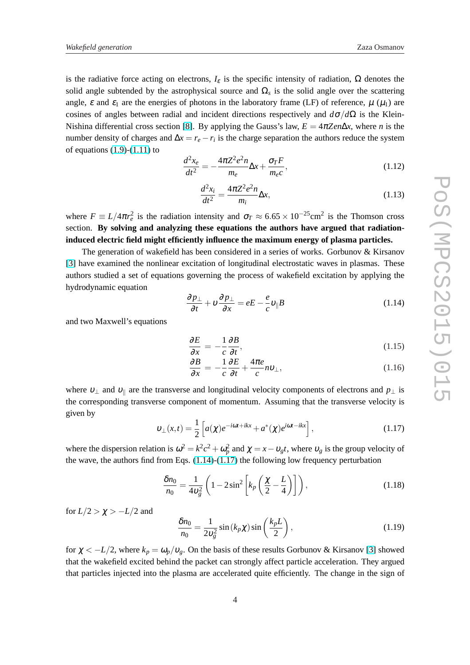is the radiative force acting on electrons,  $I_{\varepsilon}$  is the specific intensity of radiation,  $\Omega$  denotes the solid angle subtended by the astrophysical source and  $\Omega_s$  is the solid angle over the scattering angle,  $\varepsilon$  and  $\varepsilon_1$  are the energies of photons in the laboratory frame (LF) of reference,  $\mu$  ( $\mu_1$ ) are cosines of angles between radial and incident directions respectively and  $d\sigma/d\Omega$  is the Klein-Nishina differential cross section [\[8\]](#page-8-0). By applying the Gauss's law,  $E = 4\pi Ze n\Delta x$ , where *n* is the number density of charges and  $\Delta x = r_e - r_i$  is the charge separation the authors reduce the system of equations  $(1.9)-(1.11)$  $(1.9)-(1.11)$  to

$$
\frac{d^2x_e}{dt^2} = -\frac{4\pi Z^2 e^2 n}{m_e} \Delta x + \frac{\sigma_T F}{m_e c},
$$
\n(1.12)

$$
\frac{d^2x_i}{dt^2} = \frac{4\pi Z^2 e^2 n}{m_i} \Delta x,\tag{1.13}
$$

where  $F \equiv L/4\pi r_e^2$  is the radiation intensity and  $\sigma_T \approx 6.65 \times 10^{-25}$ cm<sup>2</sup> is the Thomson cross section. **By solving and analyzing these equations the authors have argued that radiationinduced electric field might efficiently influence the maximum energy of plasma particles.**

The generation of wakefield has been considered in a series of works. Gorbunov & Kirsanov [\[3\]](#page-8-0) have examined the nonlinear excitation of longitudinal electrostatic waves in plasmas. These authors studied a set of equations governing the process of wakefield excitation by applying the hydrodynamic equation

$$
\frac{\partial p_{\perp}}{\partial t} + v \frac{\partial p_{\perp}}{\partial x} = eE - \frac{e}{c} v_{\parallel} B \tag{1.14}
$$

and two Maxwell's equations

$$
\frac{\partial E}{\partial x} = -\frac{1}{c} \frac{\partial B}{\partial t},\tag{1.15}
$$

$$
\frac{\partial B}{\partial x} = -\frac{1}{c} \frac{\partial E}{\partial t} + \frac{4\pi e}{c} n v_{\perp},\tag{1.16}
$$

where  $v_{\perp}$  and  $v_{\parallel}$  are the transverse and longitudinal velocity components of electrons and  $p_{\perp}$  is the corresponding transverse component of momentum. Assuming that the transverse velocity is given by

$$
\upsilon_{\perp}(x,t) = \frac{1}{2} \left[ a(\chi)e^{-i\omega t + ikx} + a^*(\chi)e^{i\omega t - ikx} \right],
$$
\n(1.17)

where the dispersion relation is  $\omega^2 = k^2c^2 + \omega_p^2$  and  $\chi = x - v_g t$ , where  $v_g$  is the group velocity of the wave, the authors find from Eqs.  $(1.14)-(1.17)$  the following low frequency perturbation

$$
\frac{\delta n_0}{n_0} = \frac{1}{4v_g^2} \left( 1 - 2\sin^2 \left[ k_p \left( \frac{\chi}{2} - \frac{L}{4} \right) \right] \right),\tag{1.18}
$$

for  $L/2 > \chi > -L/2$  and

$$
\frac{\delta n_0}{n_0} = \frac{1}{2v_g^2} \sin(k_p \chi) \sin\left(\frac{k_p L}{2}\right),\tag{1.19}
$$

for  $\chi < -L/2$ , where  $k_p = \omega_p/v_g$ . On the basis of these results Gorbunov & Kirsanov [\[3\]](#page-8-0) showed that the wakefield excited behind the packet can strongly affect particle acceleration. They argued that particles injected into the plasma are accelerated quite efficiently. The change in the sign of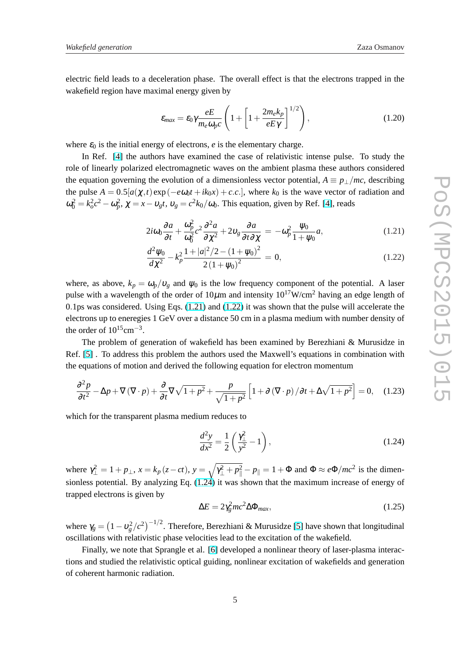electric field leads to a deceleration phase. The overall effect is that the electrons trapped in the wakefield region have maximal energy given by

$$
\varepsilon_{max} = \varepsilon_0 \gamma \frac{eE}{m_e \omega_p c} \left( 1 + \left[ 1 + \frac{2m_e k_p}{eE\gamma} \right]^{1/2} \right),\tag{1.20}
$$

where  $\varepsilon_0$  is the initial energy of electrons,  $e$  is the elementary charge.

In Ref. [\[4\]](#page-8-0) the authors have examined the case of relativistic intense pulse. To study the role of linearly polarized electromagnetic waves on the ambient plasma these authors considered the equation governing the evolution of a dimensionless vector potential,  $A \equiv p_{\perp}/mc$ , describing the pulse  $A = 0.5[a(\chi, t) \exp(-e\omega_0 t + ik_0 \chi) + c.c.]$ , where  $k_0$  is the wave vector of radiation and  $\omega_0^2 = k_o^2 c^2 - \omega_p^2$ ,  $\chi = x - v_g t$ ,  $v_g = c^2 k_0/\omega_0$ . This equation, given by Ref. [\[4\]](#page-8-0), reads

$$
2i\omega_0 \frac{\partial a}{\partial t} + \frac{\omega_p^2}{\omega_0^2} c^2 \frac{\partial^2 a}{\partial \chi^2} + 2\nu_g \frac{\partial a}{\partial t \partial \chi} = -\omega_p^2 \frac{\psi_0}{1 + \psi_0} a,\tag{1.21}
$$

$$
\frac{d^2\psi_0}{d\chi^2} - k_p^2 \frac{1+|a|^2/2 - (1+\psi_0)^2}{2(1+\psi_0)^2} = 0,
$$
\n(1.22)

where, as above,  $k_p = \omega_p/v_g$  and  $\psi_0$  is the low frequency component of the potential. A laser pulse with a wavelength of the order of  $10\mu$ m and intensity  $10^{17}$ W/cm<sup>2</sup> having an edge length of 0.1ps was considered. Using Eqs. (1.21) and (1.22) it was shown that the pulse will accelerate the electrons up to eneregies 1 GeV over a distance 50 cm in a plasma medium with number density of the order of  $10^{15}$ cm<sup>-3</sup>.

The problem of generation of wakefield has been examined by Berezhiani & Murusidze in Ref. [\[5\]](#page-8-0) . To address this problem the authors used the Maxwell's equations in combination with the equations of motion and derived the following equation for electron momentum

$$
\frac{\partial^2 p}{\partial t^2} - \Delta p + \nabla (\nabla \cdot p) + \frac{\partial}{\partial t} \nabla \sqrt{1 + p^2} + \frac{p}{\sqrt{1 + p^2}} \left[ 1 + \partial (\nabla \cdot p) / \partial t + \Delta \sqrt{1 + p^2} \right] = 0, \quad (1.23)
$$

which for the transparent plasma medium reduces to

$$
\frac{d^2y}{dx^2} = \frac{1}{2} \left( \frac{\gamma_{\perp}^2}{y^2} - 1 \right),\tag{1.24}
$$

where  $\gamma_{\perp}^2 = 1 + p_{\perp}$ ,  $x = k_p(z - ct)$ ,  $y =$  $\mathcal{L}$  $\gamma_{\perp}^2 + p_{\parallel}^2 - p_{\parallel} = 1 + \Phi$  and  $\Phi \approx e\Phi/mc^2$  is the dimensionless potential. By analyzing Eq.  $(1.24)$  it was shown that the maximum increase of energy of trapped electrons is given by

$$
\Delta E = 2\gamma_g^2 mc^2 \Delta \Phi_{max},\tag{1.25}
$$

where  $\gamma_g =$ ¡  $1-v_g^2/c^2$ )<sup>-1/2</sup>. Therefore, Berezhiani & Murusidze [\[5\]](#page-8-0) have shown that longitudinal oscillations with relativistic phase velocities lead to the excitation of the wakefield.

Finally, we note that Sprangle et al. [\[6\]](#page-8-0) developed a nonlinear theory of laser-plasma interactions and studied the relativistic optical guiding, nonlinear excitation of wakefields and generation of coherent harmonic radiation.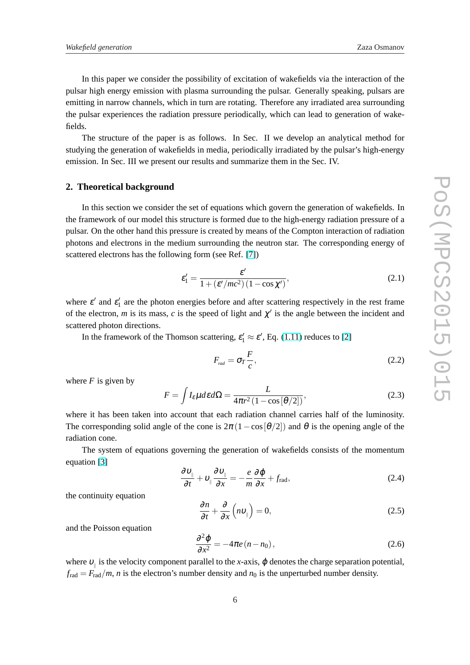<span id="page-5-0"></span>In this paper we consider the possibility of excitation of wakefields via the interaction of the pulsar high energy emission with plasma surrounding the pulsar. Generally speaking, pulsars are emitting in narrow channels, which in turn are rotating. Therefore any irradiated area surrounding the pulsar experiences the radiation pressure periodically, which can lead to generation of wakefields.

The structure of the paper is as follows. In Sec. II we develop an analytical method for studying the generation of wakefields in media, periodically irradiated by the pulsar's high-energy emission. In Sec. III we present our results and summarize them in the Sec. IV.

#### **2. Theoretical background**

In this section we consider the set of equations which govern the generation of wakefields. In the framework of our model this structure is formed due to the high-energy radiation pressure of a pulsar. On the other hand this pressure is created by means of the Compton interaction of radiation photons and electrons in the medium surrounding the neutron star. The corresponding energy of scattered electrons has the following form (see Ref. [\[7\]](#page-8-0))

$$
\varepsilon_1' = \frac{\varepsilon'}{1 + (\varepsilon'/mc^2)(1 - \cos \chi')},\tag{2.1}
$$

where  $\varepsilon'$  and  $\varepsilon'_1$  are the photon energies before and after scattering respectively in the rest frame of the electron, *m* is its mass, *c* is the speed of light and  $\chi'$  is the angle between the incident and scattered photon directions.

In the framework of the Thomson scattering,  $\varepsilon'_1 \approx \varepsilon'$ , Eq. [\(1.11\)](#page-2-0) reduces to [\[2\]](#page-8-0)

$$
F_{\text{rad}} = \sigma_T \frac{F}{c},\tag{2.2}
$$

where  $F$  is given by

$$
F = \int I_{\varepsilon} \mu d\varepsilon d\Omega = \frac{L}{4\pi r^2 (1 - \cos[\theta/2])},
$$
\n(2.3)

where it has been taken into account that each radiation channel carries half of the luminosity. The corresponding solid angle of the cone is  $2\pi (1-\cos[\theta/2])$  and  $\theta$  is the opening angle of the radiation cone.

The system of equations governing the generation of wakefields consists of the momentum equation [\[3\]](#page-8-0)

$$
\frac{\partial v_{\parallel}}{\partial t} + v_{\parallel} \frac{\partial v_{\parallel}}{\partial x} = -\frac{e}{m} \frac{\partial \varphi}{\partial x} + f_{\text{rad}},
$$
\n(2.4)

the continuity equation

$$
\frac{\partial n}{\partial t} + \frac{\partial}{\partial x} \left( n v_{\parallel} \right) = 0, \tag{2.5}
$$

and the Poisson equation

$$
\frac{\partial^2 \varphi}{\partial x^2} = -4\pi e (n - n_0), \qquad (2.6)
$$

where  $v_{\parallel}$  is the velocity component parallel to the *x*-axis,  $\varphi$  denotes the charge separation potential,  $f_{\text{rad}} = F_{\text{rad}}/m$ , *n* is the electron's number density and  $n_0$  is the unperturbed number density.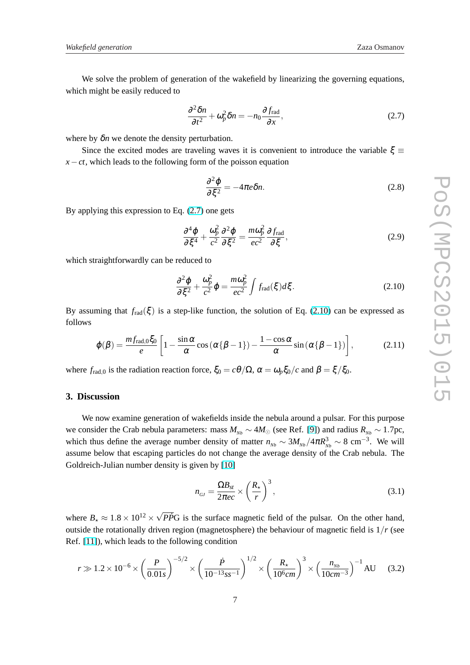We solve the problem of generation of the wakefield by linearizing the governing equations, which might be easily reduced to

$$
\frac{\partial^2 \delta n}{\partial t^2} + \omega_p^2 \delta n = -n_0 \frac{\partial f_{\text{rad}}}{\partial x},\tag{2.7}
$$

where by  $\delta n$  we denote the density perturbation.

Since the excited modes are traveling waves it is convenient to introduce the variable  $\xi \equiv$  $x - ct$ , which leads to the following form of the poisson equation

$$
\frac{\partial^2 \varphi}{\partial \xi^2} = -4\pi e \delta n. \tag{2.8}
$$

By applying this expression to Eq. (2.7) one gets

$$
\frac{\partial^4 \varphi}{\partial \xi^4} + \frac{\omega_p^2}{c^2} \frac{\partial^2 \varphi}{\partial \xi^2} = \frac{m \omega_p^2}{ec^2} \frac{\partial f_{\text{rad}}}{\partial \xi},\tag{2.9}
$$

which straightforwardly can be reduced to

$$
\frac{\partial^2 \varphi}{\partial \xi^2} + \frac{\omega_p^2}{c^2} \varphi = \frac{m \omega_p^2}{ec^2} \int f_{\text{rad}}(\xi) d\xi. \tag{2.10}
$$

By assuming that  $f_{rad}(\xi)$  is a step-like function, the solution of Eq. (2.10) can be expressed as follows

$$
\varphi(\beta) = \frac{m f_{\text{rad},0} \xi_0}{e} \left[ 1 - \frac{\sin \alpha}{\alpha} \cos \left( \alpha \{\beta - 1\} \right) - \frac{1 - \cos \alpha}{\alpha} \sin \left( \alpha \{\beta - 1\} \right) \right],\tag{2.11}
$$

where  $f_{\text{rad},0}$  is the radiation reaction force,  $\xi_0 = c\theta/\Omega$ ,  $\alpha = \omega_p \xi_0/c$  and  $\beta = \xi/\xi_0$ .

#### **3. Discussion**

We now examine generation of wakefields inside the nebula around a pulsar. For this purpose we consider the Crab nebula parameters: mass  $M_{Nb} \sim 4M_{\odot}$  (see Ref. [\[9\]](#page-8-0)) and radius  $R_{Nb} \sim 1.7$ pc, which thus define the average number density of matter  $n_{Nb} \sim 3M_{Nb}/4\pi R_{Nb}^3 \sim 8 \text{ cm}^{-3}$ . We will assume below that escaping particles do not change the average density of the Crab nebula. The Goldreich-Julian number density is given by [\[10\]](#page-8-0)

$$
n_{GJ} = \frac{\Omega B_{st}}{2\pi e c} \times \left(\frac{R_{\star}}{r}\right)^3,\tag{3.1}
$$

where  $B_{\star} \approx 1.8 \times 10^{12} \times$ √  $\overline{PP}G$  is the surface magnetic field of the pulsar. On the other hand, outside the rotationally driven region (magnetosphere) the behaviour of magnetic field is 1/*r* (see Ref. [\[11\]](#page-8-0)), which leads to the following condition

$$
r \gg 1.2 \times 10^{-6} \times \left(\frac{P}{0.01s}\right)^{-5/2} \times \left(\frac{\dot{P}}{10^{-13} s s^{-1}}\right)^{1/2} \times \left(\frac{R_{\star}}{10^{6} cm}\right)^{3} \times \left(\frac{n_{_{Nb}}}{10 cm^{-3}}\right)^{-1} AU
$$
 (3.2)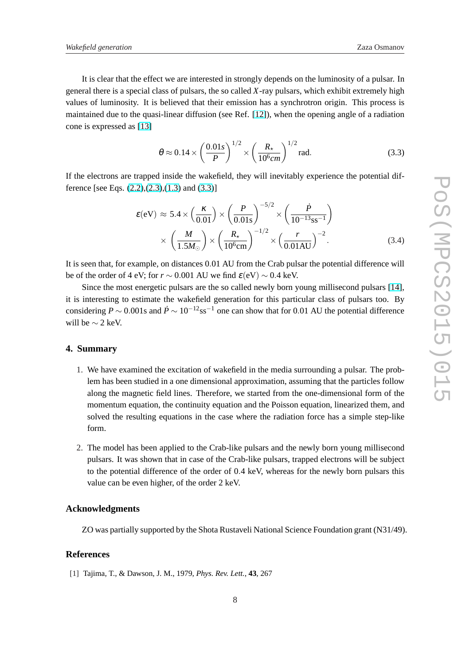<span id="page-7-0"></span>It is clear that the effect we are interested in strongly depends on the luminosity of a pulsar. In general there is a special class of pulsars, the so called *X*-ray pulsars, which exhibit extremely high values of luminosity. It is believed that their emission has a synchrotron origin. This process is maintained due to the quasi-linear diffusion (see Ref. [\[12\]](#page-8-0)), when the opening angle of a radiation cone is expressed as [\[13\]](#page-8-0)

$$
\theta \approx 0.14 \times \left(\frac{0.01s}{P}\right)^{1/2} \times \left(\frac{R_{\star}}{10^6 cm}\right)^{1/2} \text{rad.}
$$
 (3.3)

If the electrons are trapped inside the wakefield, they will inevitably experience the potential difference [see Eqs.  $(2.2),(2.3),(1.3)$  $(2.2),(2.3),(1.3)$  $(2.2),(2.3),(1.3)$  $(2.2),(2.3),(1.3)$  $(2.2),(2.3),(1.3)$  and  $(3.3)$ ]

$$
\varepsilon(\text{eV}) \approx 5.4 \times \left(\frac{\kappa}{0.01}\right) \times \left(\frac{P}{0.01\text{s}}\right)^{-5/2} \times \left(\frac{\dot{P}}{10^{-13}\text{ss}^{-1}}\right) \times \left(\frac{M}{1.5M_{\odot}}\right) \times \left(\frac{R_{\star}}{10^{6}\text{cm}}\right)^{-1/2} \times \left(\frac{r}{0.01\text{AU}}\right)^{-2}.
$$
 (3.4)

It is seen that, for example, on distances 0.01 AU from the Crab pulsar the potential difference will be of the order of 4 eV; for  $r \sim 0.001$  AU we find  $\varepsilon$ (eV)  $\sim 0.4$  keV.

Since the most energetic pulsars are the so called newly born young millisecond pulsars [\[14\]](#page-8-0), it is interesting to estimate the wakefield generation for this particular class of pulsars too. By considering  $P \sim 0.001$ s and  $\dot{P} \sim 10^{-12}$ ss<sup>-1</sup> one can show that for 0.01 AU the potential difference will be  $\sim$  2 keV.

#### **4. Summary**

- 1. We have examined the excitation of wakefield in the media surrounding a pulsar. The problem has been studied in a one dimensional approximation, assuming that the particles follow along the magnetic field lines. Therefore, we started from the one-dimensional form of the momentum equation, the continuity equation and the Poisson equation, linearized them, and solved the resulting equations in the case where the radiation force has a simple step-like form.
- 2. The model has been applied to the Crab-like pulsars and the newly born young millisecond pulsars. It was shown that in case of the Crab-like pulsars, trapped electrons will be subject to the potential difference of the order of 0.4 keV, whereas for the newly born pulsars this value can be even higher, of the order 2 keV.

### **Acknowledgments**

ZO was partially supported by the Shota Rustaveli National Science Foundation grant (N31/49).

## **References**

[1] Tajima, T., & Dawson, J. M., 1979, *Phys. Rev. Lett.*, **43**, 267